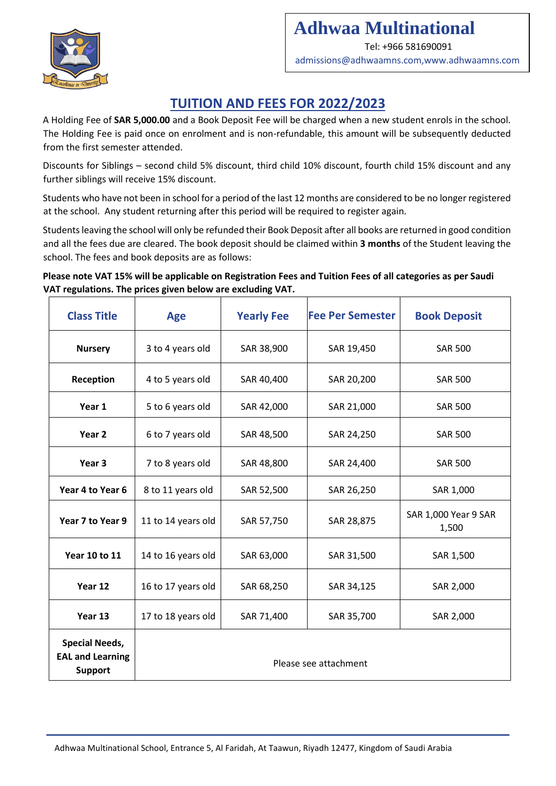

# **Adhwaa Multinational**

Tel: +966 581690091

admissions@adhwaamns.com,www.adhwaamns.com

## **TUITION AND FEES FOR 2022/2023**

A Holding Fee of **SAR 5,000.00** and a Book Deposit Fee will be charged when a new student enrols in the school. The Holding Fee is paid once on enrolment and is non-refundable, this amount will be subsequently deducted from the first semester attended.

Discounts for Siblings – second child 5% discount, third child 10% discount, fourth child 15% discount and any further siblings will receive 15% discount.

Students who have not been in school for a period of the last 12 months are considered to be no longer registered at the school. Any student returning after this period will be required to register again.

Students leaving the school will only be refunded their Book Deposit after all books are returned in good condition and all the fees due are cleared. The book deposit should be claimed within **3 months** of the Student leaving the school. The fees and book deposits are as follows:

#### **Please note VAT 15% will be applicable on Registration Fees and Tuition Fees of all categories as per Saudi VAT regulations. The prices given below are excluding VAT.**

| <b>Class Title</b>                                                 | <b>Age</b>            | <b>Yearly Fee</b> | <b>Fee Per Semester</b> | <b>Book Deposit</b>           |
|--------------------------------------------------------------------|-----------------------|-------------------|-------------------------|-------------------------------|
| <b>Nursery</b>                                                     | 3 to 4 years old      | SAR 38,900        | SAR 19,450              | <b>SAR 500</b>                |
| Reception                                                          | 4 to 5 years old      | SAR 40,400        | SAR 20,200              | <b>SAR 500</b>                |
| Year 1                                                             | 5 to 6 years old      | SAR 42,000        | SAR 21,000              | <b>SAR 500</b>                |
| Year 2                                                             | 6 to 7 years old      | SAR 48,500        | SAR 24,250              | <b>SAR 500</b>                |
| Year <sub>3</sub>                                                  | 7 to 8 years old      | SAR 48,800        | SAR 24,400              | <b>SAR 500</b>                |
| Year 4 to Year 6                                                   | 8 to 11 years old     | SAR 52,500        | SAR 26,250              | SAR 1,000                     |
| Year 7 to Year 9                                                   | 11 to 14 years old    | SAR 57,750        | SAR 28,875              | SAR 1,000 Year 9 SAR<br>1,500 |
| <b>Year 10 to 11</b>                                               | 14 to 16 years old    | SAR 63,000        | SAR 31,500              | SAR 1,500                     |
| Year 12                                                            | 16 to 17 years old    | SAR 68,250        | SAR 34,125              | SAR 2,000                     |
| Year 13                                                            | 17 to 18 years old    | SAR 71,400        | SAR 35,700              | SAR 2,000                     |
| <b>Special Needs,</b><br><b>EAL and Learning</b><br><b>Support</b> | Please see attachment |                   |                         |                               |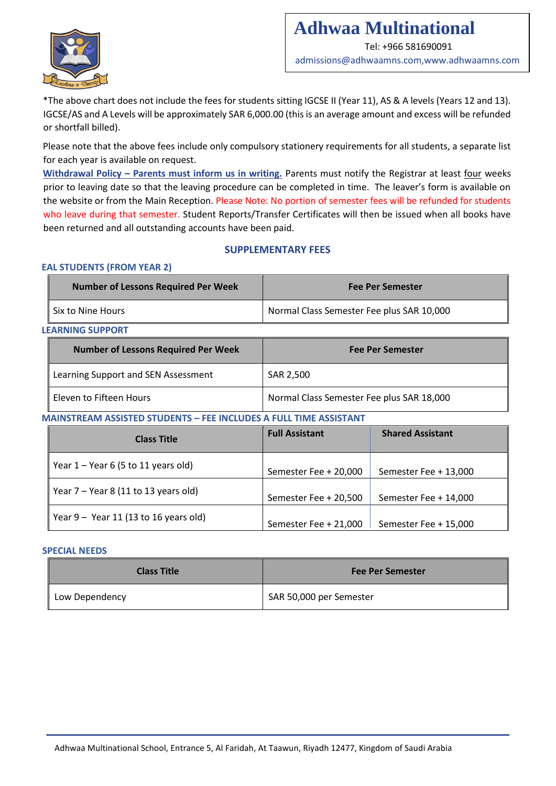

### **Adhwaa Multinational**  Tel: +966 581690091

admissions@adhwaamns.com,www.adhwaamns.com

\*The above chart does not include the fees for students sitting IGCSE II (Year 11), AS & A levels (Years 12 and 13). IGCSE/AS and A Levels will be approximately SAR 6,000.00 (this is an average amount and excess will be refunded or shortfall billed).

Please note that the above fees include only compulsory stationery requirements for all students, a separate list for each year is available on request.

**Withdrawal Policy - Parents must inform us in writing.** Parents must notify the Registrar at least four weeks prior to leaving date so that the leaving procedure can be completed in time. The leaver's form is available on the website or from the Main Reception. Please Note: No portion of semester fees will be refunded for students who leave during that semester. Student Reports/Transfer Certificates will then be issued when all books have been returned and all outstanding accounts have been paid.

#### **SUPPLEMENTARY FEES**

#### **EAL STUDENTS (FROM YEAR 2)**

| Number of Lessons Required Per Week | <b>Fee Per Semester</b>                   |  |
|-------------------------------------|-------------------------------------------|--|
| Six to Nine Hours                   | Normal Class Semester Fee plus SAR 10,000 |  |

**LEARNING SUPPORT** 

| <b>Number of Lessons Required Per Week</b> | <b>Fee Per Semester</b>                   |  |
|--------------------------------------------|-------------------------------------------|--|
| Learning Support and SEN Assessment        | SAR 2,500                                 |  |
| Eleven to Fifteen Hours                    | Normal Class Semester Fee plus SAR 18,000 |  |

#### **MAINSTREAM ASSISTED STUDENTS – FEE INCLUDES A FULL TIME ASSISTANT**

| <b>Class Title</b>                      | <b>Full Assistant</b> | <b>Shared Assistant</b> |
|-----------------------------------------|-----------------------|-------------------------|
| Year $1 -$ Year 6 (5 to 11 years old)   | Semester Fee + 20,000 | Semester Fee + 13,000   |
| Year $7 -$ Year 8 (11 to 13 years old)  | Semester Fee + 20,500 | Semester Fee + 14,000   |
| Year $9 -$ Year 11 (13 to 16 years old) | Semester Fee + 21,000 | Semester Fee + 15,000   |

#### **SPECIAL NEEDS**

| <b>Class Title</b> | <b>Fee Per Semester</b> |
|--------------------|-------------------------|
| Low Dependency     | SAR 50,000 per Semester |